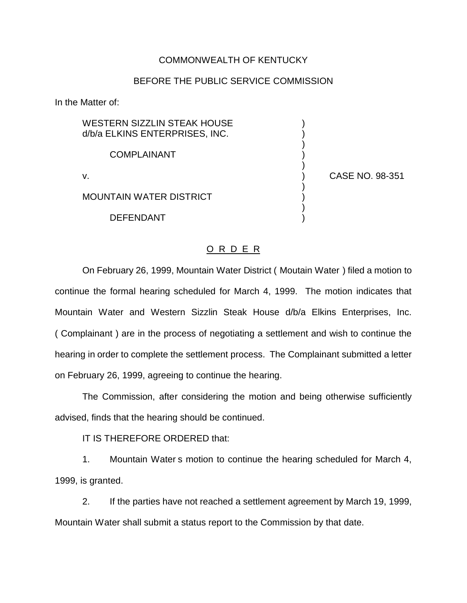## COMMONWEALTH OF KENTUCKY

## BEFORE THE PUBLIC SERVICE COMMISSION

In the Matter of:

WESTERN SIZZLIN STEAK HOUSE d/b/a ELKINS ENTERPRISES, INC. ) ) COMPLAINANT ) ) v. ) CASE NO. 98-351 ) MOUNTAIN WATER DISTRICT ) )

## O R D E R

On February 26, 1999, Mountain Water District ( Moutain Water ) filed a motion to continue the formal hearing scheduled for March 4, 1999. The motion indicates that Mountain Water and Western Sizzlin Steak House d/b/a Elkins Enterprises, Inc. ( Complainant ) are in the process of negotiating a settlement and wish to continue the hearing in order to complete the settlement process. The Complainant submitted a letter on February 26, 1999, agreeing to continue the hearing.

The Commission, after considering the motion and being otherwise sufficiently advised, finds that the hearing should be continued.

IT IS THEREFORE ORDERED that:

**DEFENDANT** 

1. Mountain Water s motion to continue the hearing scheduled for March 4, 1999, is granted.

2. If the parties have not reached a settlement agreement by March 19, 1999, Mountain Water shall submit a status report to the Commission by that date.